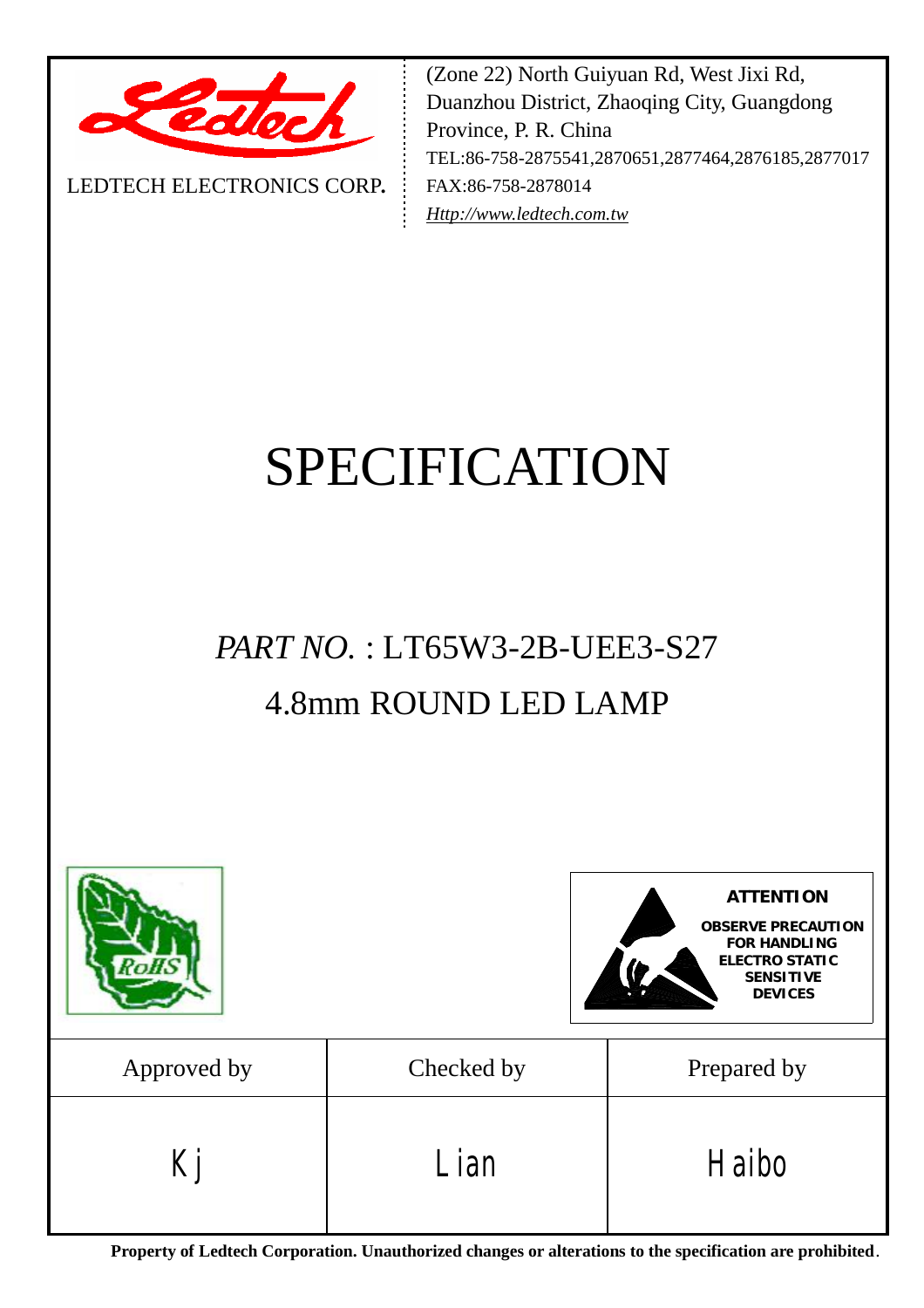

LEDTECH ELECTRONICS CORP**.**

(Zone 22) North Guiyuan Rd, West Jixi Rd, Duanzhou District, Zhaoqing City, Guangdong Province, P. R. China TEL:86-758-2875541,2870651,2877464,2876185,2877017 FAX:86-758-2878014 *[Http://www.ledtech.com.tw](http://www.ledtech.com.tw)*

# SPECIFICATION

# *PART NO.* : LT65W3-2B-UEE3-S27 4.8mm ROUND LED LAMP



**Property of Ledtech Corporation. Unauthorized changes or alterations to the specification are prohibited***.*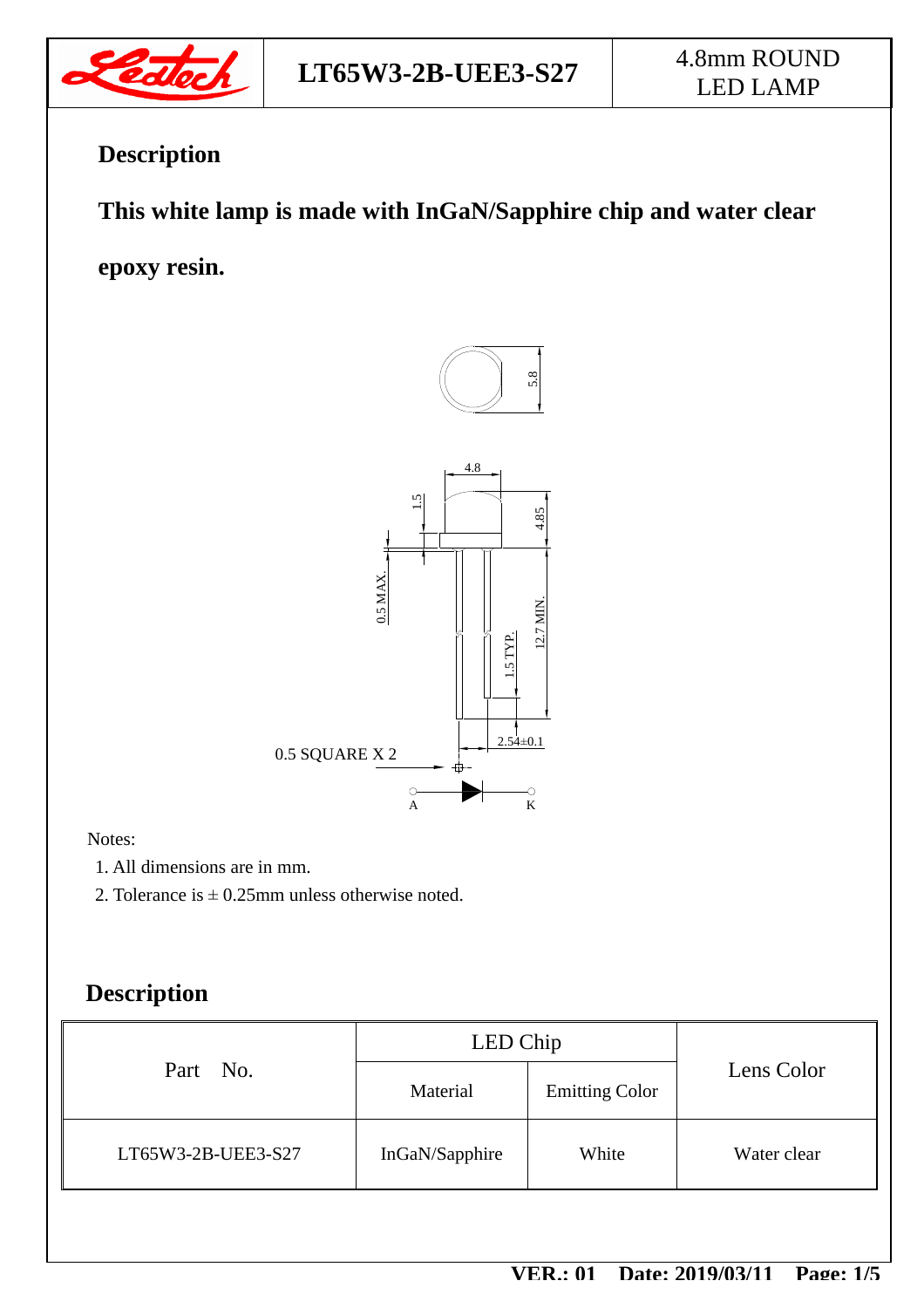

# **Description**

## **This white lamp is made with InGaN/Sapphire chip and water clear**

**epoxy resin.** 



#### Notes:

- 1. All dimensions are in mm.
- 2. Tolerance is  $\pm$  0.25mm unless otherwise noted.

### **Description**

| Part No.           | LED Chip       |                       |             |
|--------------------|----------------|-----------------------|-------------|
|                    | Material       | <b>Emitting Color</b> | Lens Color  |
| LT65W3-2B-UEE3-S27 | InGaN/Sapphire | White                 | Water clear |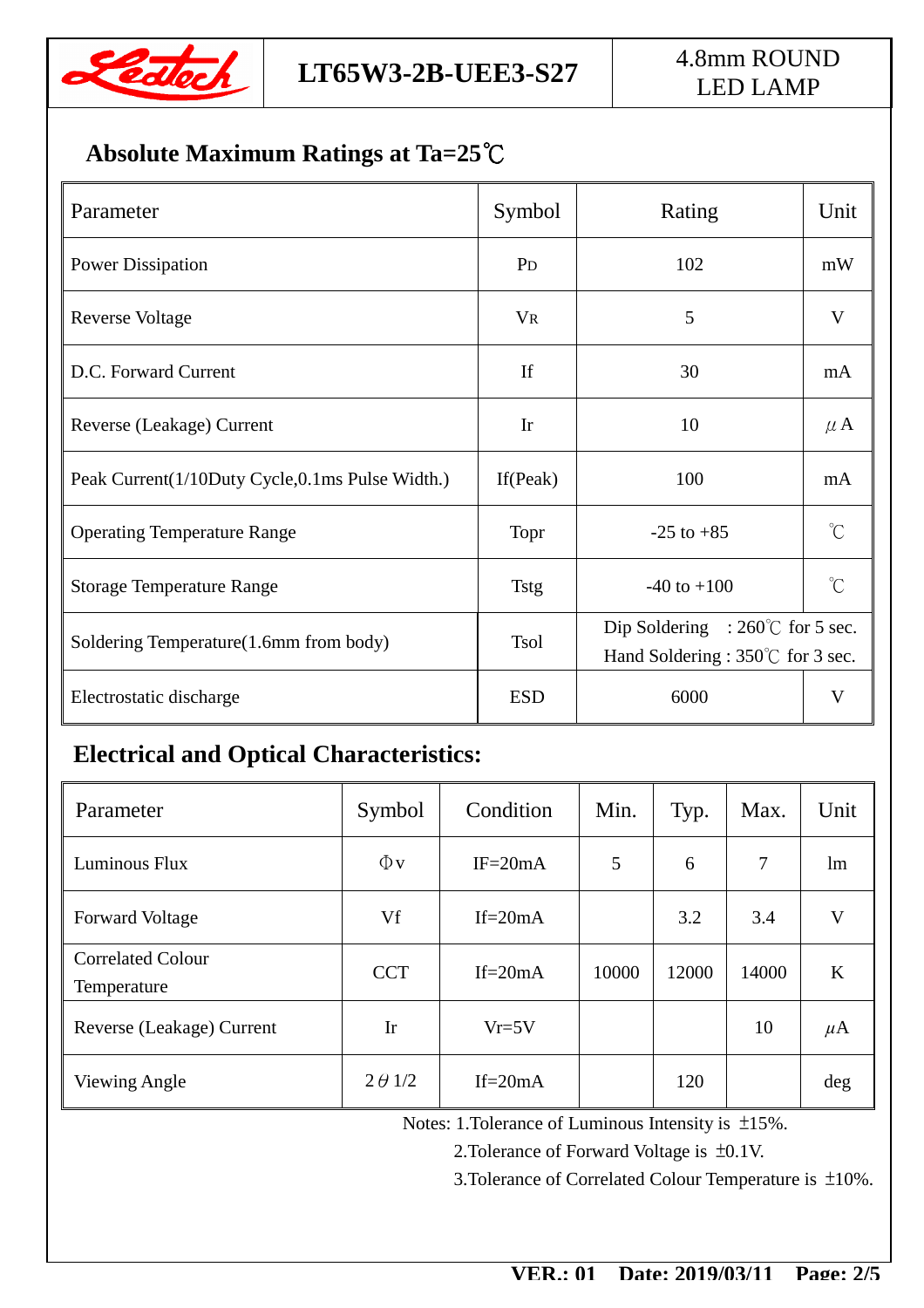

## **Absolute Maximum Ratings at Ta=25℃**

| Parameter                                       | Symbol         | Rating                                                                                  | Unit                |
|-------------------------------------------------|----------------|-----------------------------------------------------------------------------------------|---------------------|
| <b>Power Dissipation</b>                        | P <sub>D</sub> | 102                                                                                     | mW                  |
| <b>Reverse Voltage</b>                          | <b>VR</b>      | 5                                                                                       | V                   |
| D.C. Forward Current                            | If             | 30                                                                                      | mA                  |
| Reverse (Leakage) Current                       | Ir             | 10                                                                                      | $\mu$ A             |
| Peak Current(1/10Duty Cycle,0.1ms Pulse Width.) | If $(Peak)$    | 100                                                                                     | mA                  |
| <b>Operating Temperature Range</b>              | Topr           | $-25$ to $+85$                                                                          | $\int_{0}^{\infty}$ |
| <b>Storage Temperature Range</b>                | <b>Tstg</b>    | $-40$ to $+100$                                                                         | $\hat{C}$           |
| Soldering Temperature(1.6mm from body)          | <b>Tsol</b>    | Dip Soldering : $260^{\circ}$ C for 5 sec.<br>Hand Soldering : $350^{\circ}$ for 3 sec. |                     |
| Electrostatic discharge                         | <b>ESD</b>     | 6000                                                                                    | V                   |

### **Electrical and Optical Characteristics:**

| Parameter                               | Symbol         | Condition   | Min.  | Typ.  | Max.  | Unit    |
|-----------------------------------------|----------------|-------------|-------|-------|-------|---------|
| Luminous Flux                           | $\Phi$ v       | $IF = 20mA$ | 5     | 6     | 7     | lm      |
| <b>Forward Voltage</b>                  | Vf             | If= $20mA$  |       | 3.2   | 3.4   | V       |
| <b>Correlated Colour</b><br>Temperature | <b>CCT</b>     | If= $20mA$  | 10000 | 12000 | 14000 | K       |
| Reverse (Leakage) Current               | Ir             | $Vr=5V$     |       |       | 10    | $\mu$ A |
| Viewing Angle                           | $2 \theta$ 1/2 | If= $20mA$  |       | 120   |       | deg     |

Notes: 1.Tolerance of Luminous Intensity is ±15%.

2.Tolerance of Forward Voltage is ±0.1V.

3.Tolerance of Correlated Colour Temperature is ±10%.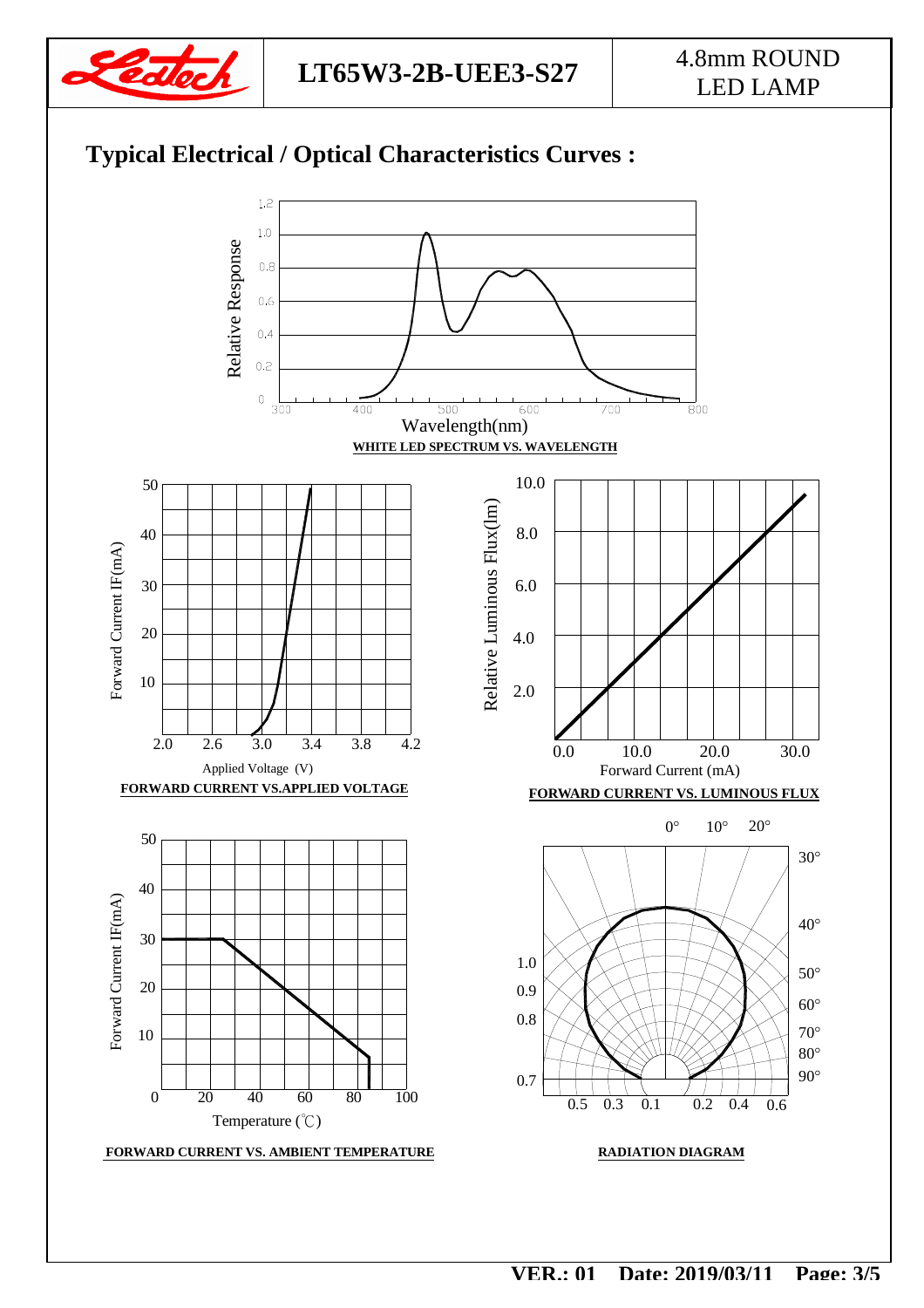

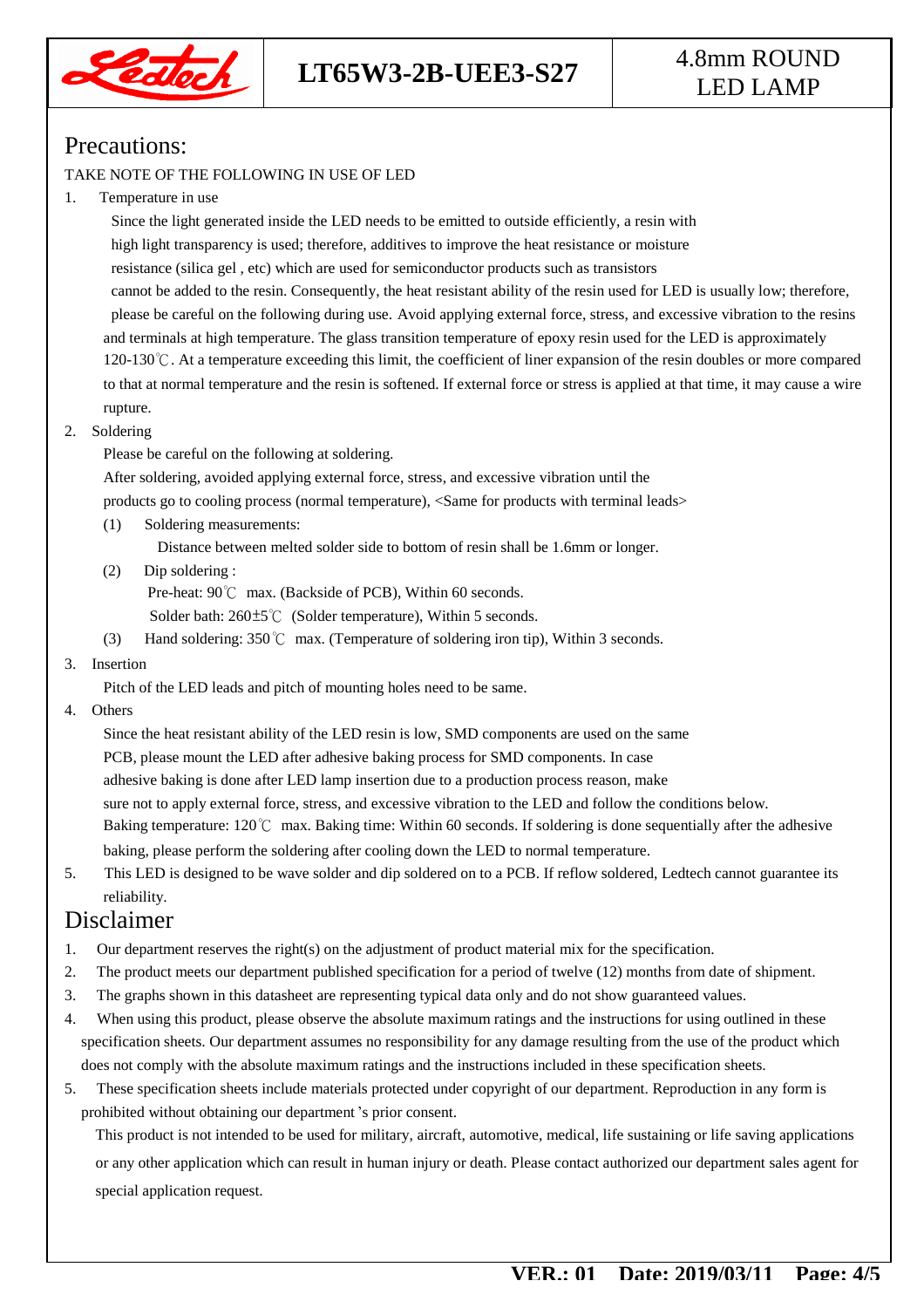

# LED LAMP

#### Precautions:

#### TAKE NOTE OF THE FOLLOWING IN USE OF LED

#### 1. Temperature in use

 Since the light generated inside the LED needs to be emitted to outside efficiently, a resin with high light transparency is used; therefore, additives to improve the heat resistance or moisture resistance (silica gel , etc) which are used for semiconductor products such as transistors cannot be added to the resin. Consequently, the heat resistant ability of the resin used for LED is usually low; therefore, please be careful on the following during use. Avoid applying external force, stress, and excessive vibration to the resins and terminals at high temperature. The glass transition temperature of epoxy resin used for the LED is approximately 120-130℃. At a temperature exceeding this limit, the coefficient of liner expansion of the resin doubles or more compared to that at normal temperature and the resin is softened. If external force or stress is applied at that time, it may cause a wire rupture.

#### 2. Soldering

Please be careful on the following at soldering.

After soldering, avoided applying external force, stress, and excessive vibration until the

products go to cooling process (normal temperature), <Same for products with terminal leads>

(1) Soldering measurements:

Distance between melted solder side to bottom of resin shall be 1.6mm or longer.

(2) Dip soldering :

Pre-heat: 90℃ max. (Backside of PCB), Within 60 seconds.

Solder bath: 260±5℃ (Solder temperature), Within 5 seconds.

(3) Hand soldering: 350℃ max. (Temperature of soldering iron tip), Within 3 seconds.

#### 3. Insertion

Pitch of the LED leads and pitch of mounting holes need to be same.

4. Others

 Since the heat resistant ability of the LED resin is low, SMD components are used on the same PCB, please mount the LED after adhesive baking process for SMD components. In case adhesive baking is done after LED lamp insertion due to a production process reason, make sure not to apply external force, stress, and excessive vibration to the LED and follow the conditions below. Baking temperature: 120℃ max. Baking time: Within 60 seconds. If soldering is done sequentially after the adhesive baking, please perform the soldering after cooling down the LED to normal temperature.

5. This LED is designed to be wave solder and dip soldered on to a PCB. If reflow soldered, Ledtech cannot guarantee its reliability.

#### Disclaimer

- 1. Our department reserves the right(s) on the adjustment of product material mix for the specification.
- 2. The product meets our department published specification for a period of twelve (12) months from date of shipment.
- 3. The graphs shown in this datasheet are representing typical data only and do not show guaranteed values.
- 4. When using this product, please observe the absolute maximum ratings and the instructions for using outlined in these specification sheets. Our department assumes no responsibility for any damage resulting from the use of the product which does not comply with the absolute maximum ratings and the instructions included in these specification sheets.
- 5. These specification sheets include materials protected under copyright of our department. Reproduction in any form is prohibited without obtaining our department's prior consent.

This product is not intended to be used for military, aircraft, automotive, medical, life sustaining or life saving applications or any other application which can result in human injury or death. Please contact authorized our department sales agent for special application request.